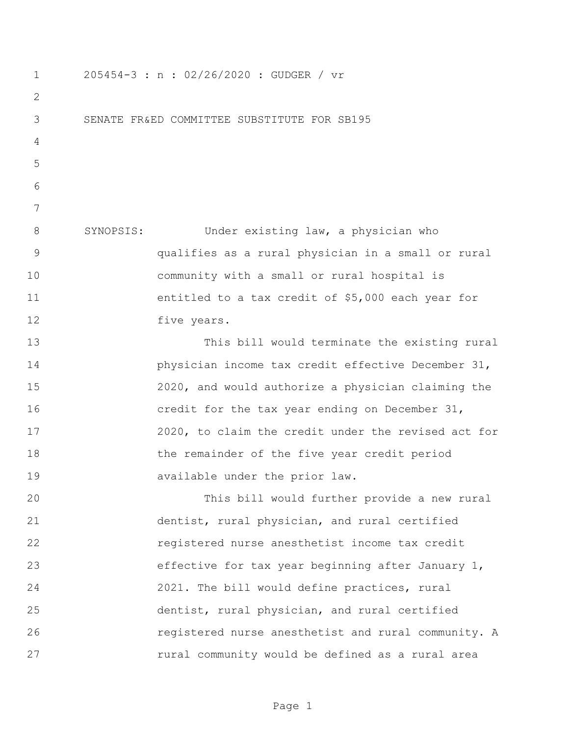205454-3 : n : 02/26/2020 : GUDGER / vr SENATE FR&ED COMMITTEE SUBSTITUTE FOR SB195 SYNOPSIS: Under existing law, a physician who qualifies as a rural physician in a small or rural community with a small or rural hospital is entitled to a tax credit of \$5,000 each year for 12 five years. This bill would terminate the existing rural physician income tax credit effective December 31, 2020, and would authorize a physician claiming the credit for the tax year ending on December 31, 2020, to claim the credit under the revised act for the remainder of the five year credit period available under the prior law. This bill would further provide a new rural dentist, rural physician, and rural certified registered nurse anesthetist income tax credit effective for tax year beginning after January 1, 2021. The bill would define practices, rural dentist, rural physician, and rural certified registered nurse anesthetist and rural community. A **rural community would be defined as a rural area**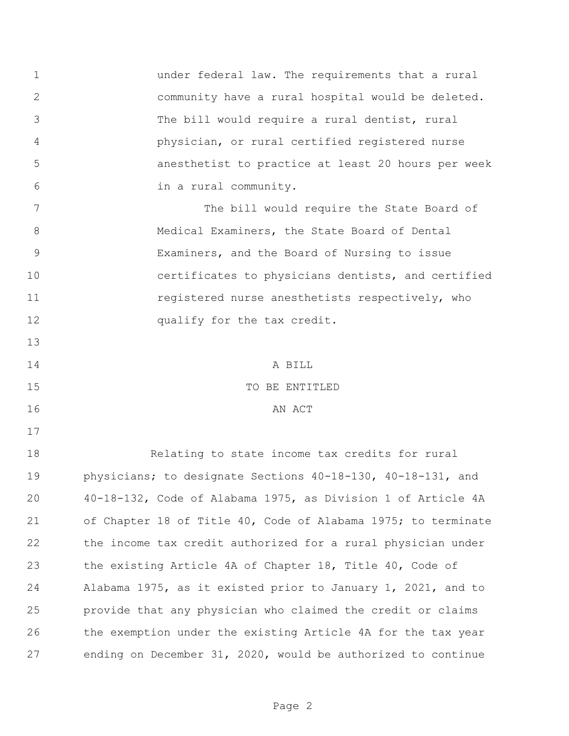under federal law. The requirements that a rural community have a rural hospital would be deleted. The bill would require a rural dentist, rural physician, or rural certified registered nurse anesthetist to practice at least 20 hours per week in a rural community.

 The bill would require the State Board of 8 Medical Examiners, the State Board of Dental Examiners, and the Board of Nursing to issue certificates to physicians dentists, and certified 11 registered nurse anesthetists respectively, who 12 qualify for the tax credit.

 A BILL TO BE ENTITLED

16 AN ACT

 Relating to state income tax credits for rural physicians; to designate Sections 40-18-130, 40-18-131, and 40-18-132, Code of Alabama 1975, as Division 1 of Article 4A of Chapter 18 of Title 40, Code of Alabama 1975; to terminate the income tax credit authorized for a rural physician under the existing Article 4A of Chapter 18, Title 40, Code of Alabama 1975, as it existed prior to January 1, 2021, and to provide that any physician who claimed the credit or claims the exemption under the existing Article 4A for the tax year ending on December 31, 2020, would be authorized to continue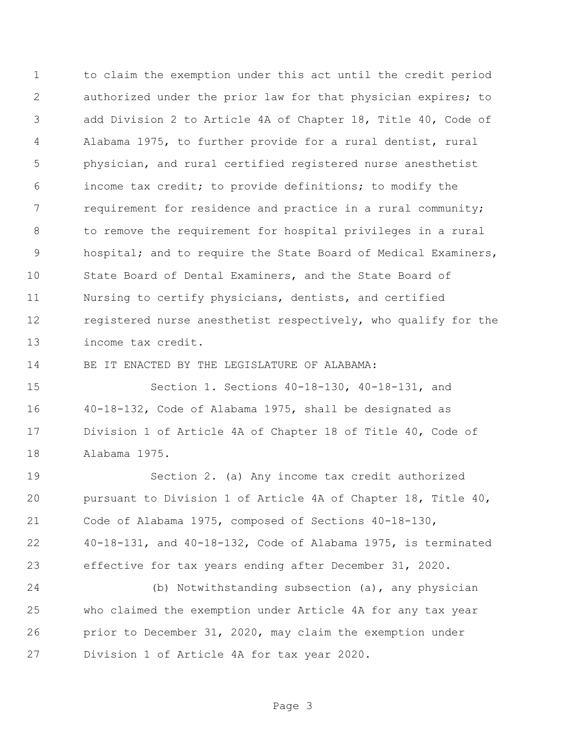to claim the exemption under this act until the credit period authorized under the prior law for that physician expires; to add Division 2 to Article 4A of Chapter 18, Title 40, Code of Alabama 1975, to further provide for a rural dentist, rural physician, and rural certified registered nurse anesthetist income tax credit; to provide definitions; to modify the requirement for residence and practice in a rural community; to remove the requirement for hospital privileges in a rural hospital; and to require the State Board of Medical Examiners, State Board of Dental Examiners, and the State Board of Nursing to certify physicians, dentists, and certified registered nurse anesthetist respectively, who qualify for the income tax credit.

BE IT ENACTED BY THE LEGISLATURE OF ALABAMA:

 Section 1. Sections 40-18-130, 40-18-131, and 40-18-132, Code of Alabama 1975, shall be designated as Division 1 of Article 4A of Chapter 18 of Title 40, Code of Alabama 1975.

 Section 2. (a) Any income tax credit authorized pursuant to Division 1 of Article 4A of Chapter 18, Title 40, Code of Alabama 1975, composed of Sections 40-18-130, 40-18-131, and 40-18-132, Code of Alabama 1975, is terminated effective for tax years ending after December 31, 2020.

 (b) Notwithstanding subsection (a), any physician who claimed the exemption under Article 4A for any tax year prior to December 31, 2020, may claim the exemption under Division 1 of Article 4A for tax year 2020.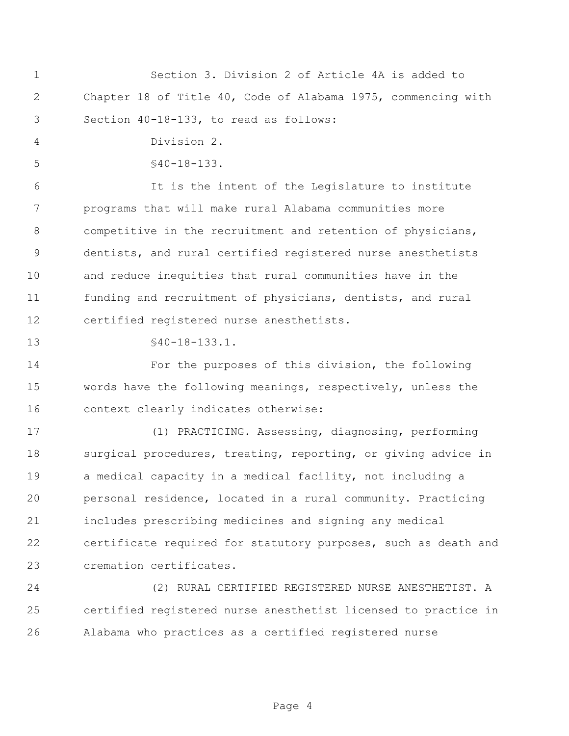|   |                                        | Section 3. Division 2 of Article 4A is added to               |  |  |
|---|----------------------------------------|---------------------------------------------------------------|--|--|
| 2 |                                        | Chapter 18 of Title 40, Code of Alabama 1975, commencing with |  |  |
|   | Section 40-18-133, to read as follows: |                                                               |  |  |

Division 2.

§40-18-133.

 It is the intent of the Legislature to institute programs that will make rural Alabama communities more competitive in the recruitment and retention of physicians, dentists, and rural certified registered nurse anesthetists and reduce inequities that rural communities have in the funding and recruitment of physicians, dentists, and rural certified registered nurse anesthetists.

§40-18-133.1.

 For the purposes of this division, the following words have the following meanings, respectively, unless the context clearly indicates otherwise:

 (1) PRACTICING. Assessing, diagnosing, performing 18 surgical procedures, treating, reporting, or giving advice in a medical capacity in a medical facility, not including a personal residence, located in a rural community. Practicing includes prescribing medicines and signing any medical certificate required for statutory purposes, such as death and cremation certificates.

 (2) RURAL CERTIFIED REGISTERED NURSE ANESTHETIST. A certified registered nurse anesthetist licensed to practice in Alabama who practices as a certified registered nurse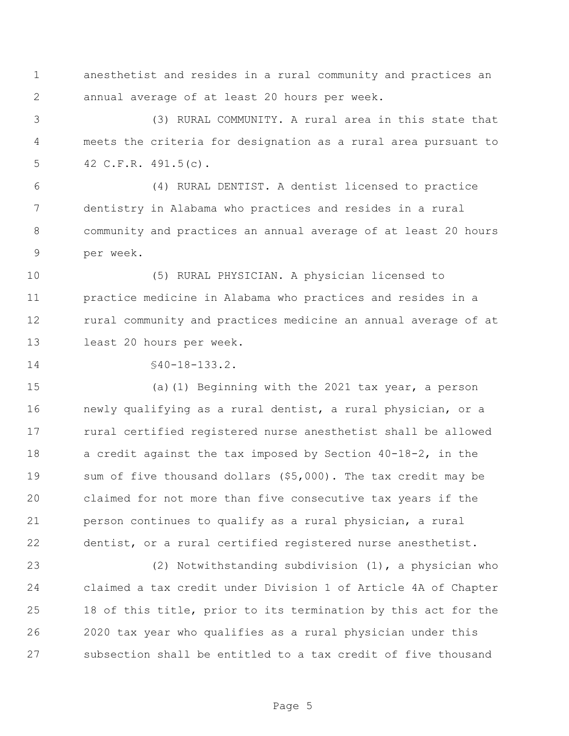anesthetist and resides in a rural community and practices an annual average of at least 20 hours per week.

 (3) RURAL COMMUNITY. A rural area in this state that meets the criteria for designation as a rural area pursuant to 42 C.F.R. 491.5(c).

 (4) RURAL DENTIST. A dentist licensed to practice dentistry in Alabama who practices and resides in a rural community and practices an annual average of at least 20 hours per week.

 (5) RURAL PHYSICIAN. A physician licensed to practice medicine in Alabama who practices and resides in a rural community and practices medicine an annual average of at least 20 hours per week.

14 \$40-18-133.2.

 (a)(1) Beginning with the 2021 tax year, a person newly qualifying as a rural dentist, a rural physician, or a rural certified registered nurse anesthetist shall be allowed a credit against the tax imposed by Section 40-18-2, in the sum of five thousand dollars (\$5,000). The tax credit may be claimed for not more than five consecutive tax years if the person continues to qualify as a rural physician, a rural dentist, or a rural certified registered nurse anesthetist.

 (2) Notwithstanding subdivision (1), a physician who claimed a tax credit under Division 1 of Article 4A of Chapter 18 of this title, prior to its termination by this act for the 2020 tax year who qualifies as a rural physician under this subsection shall be entitled to a tax credit of five thousand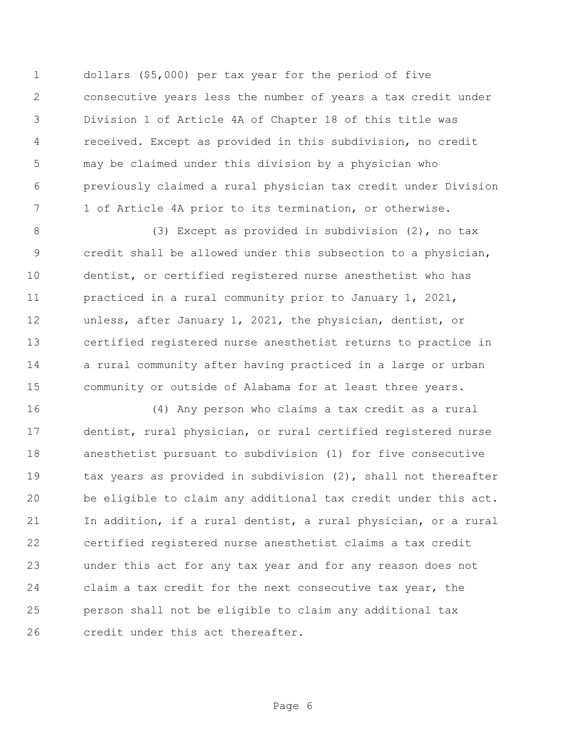dollars (\$5,000) per tax year for the period of five consecutive years less the number of years a tax credit under Division 1 of Article 4A of Chapter 18 of this title was received. Except as provided in this subdivision, no credit may be claimed under this division by a physician who previously claimed a rural physician tax credit under Division 1 of Article 4A prior to its termination, or otherwise.

 (3) Except as provided in subdivision (2), no tax credit shall be allowed under this subsection to a physician, dentist, or certified registered nurse anesthetist who has practiced in a rural community prior to January 1, 2021, unless, after January 1, 2021, the physician, dentist, or certified registered nurse anesthetist returns to practice in a rural community after having practiced in a large or urban community or outside of Alabama for at least three years.

 (4) Any person who claims a tax credit as a rural dentist, rural physician, or rural certified registered nurse anesthetist pursuant to subdivision (1) for five consecutive 19 tax years as provided in subdivision (2), shall not thereafter be eligible to claim any additional tax credit under this act. In addition, if a rural dentist, a rural physician, or a rural certified registered nurse anesthetist claims a tax credit under this act for any tax year and for any reason does not claim a tax credit for the next consecutive tax year, the person shall not be eligible to claim any additional tax credit under this act thereafter.

Page 6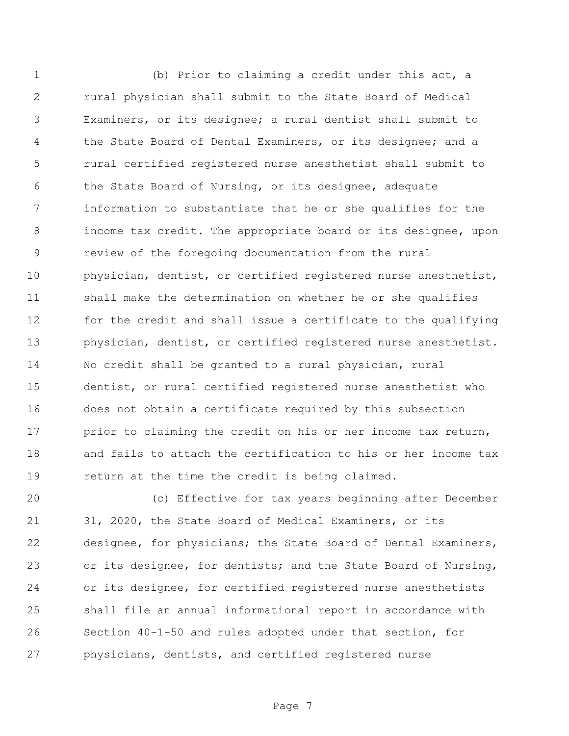(b) Prior to claiming a credit under this act, a rural physician shall submit to the State Board of Medical Examiners, or its designee; a rural dentist shall submit to 4 the State Board of Dental Examiners, or its designee; and a rural certified registered nurse anesthetist shall submit to 6 the State Board of Nursing, or its designee, adequate information to substantiate that he or she qualifies for the income tax credit. The appropriate board or its designee, upon review of the foregoing documentation from the rural physician, dentist, or certified registered nurse anesthetist, shall make the determination on whether he or she qualifies for the credit and shall issue a certificate to the qualifying physician, dentist, or certified registered nurse anesthetist. No credit shall be granted to a rural physician, rural dentist, or rural certified registered nurse anesthetist who does not obtain a certificate required by this subsection 17 prior to claiming the credit on his or her income tax return, and fails to attach the certification to his or her income tax return at the time the credit is being claimed.

 (c) Effective for tax years beginning after December 31, 2020, the State Board of Medical Examiners, or its designee, for physicians; the State Board of Dental Examiners, or its designee, for dentists; and the State Board of Nursing, or its designee, for certified registered nurse anesthetists shall file an annual informational report in accordance with Section 40-1-50 and rules adopted under that section, for physicians, dentists, and certified registered nurse

Page 7